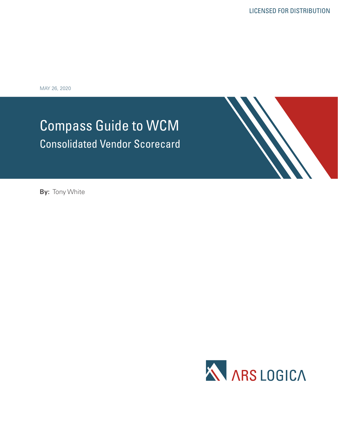MAY 26, 2020

# Compass Guide to WCM Consolidated Vendor Scorecard



**By:** Tony White

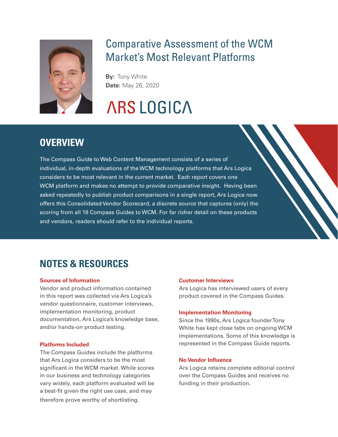

# Comparative Assessment of the WCM Market's Most Relevant Platforms

**By:** Tony White **Date:** May 26, 2020

# **ARS LOGICA**

## **OVERVIEW**

The Compass Guide to Web Content Management consists of a series of individual, in-depth evaluations of the WCM technology platforms that Ars Logica considers to be most relevant in the current market. Each report covers one WCM platform and makes no attempt to provide comparative insight. Having been asked repeatedly to publish product comparisons in a single report, Ars Logica now offers this Consolidated Vendor Scorecard, a discrete source that captures (only) the scoring from all 16 Compass Guides to WCM. For far richer detail on these products and vendors, readers should refer to the individual reports.

# **Notes & Resources**

#### **Sources of Information**

Vendor and product information contained in this report was collected via Ars Logica's vendor questionnaire, customer interviews, implementation monitoring, product documentation, Ars Logica's knowledge base, and/or hands-on product testing.

#### **Platforms Included**

The Compass Guides include the platforms that Ars Logica considers to be the most significant in the WCM market. While scores in our business and technology categories vary widely, each platform evaluated will be a best-fit given the right use case, and may therefore prove worthy of shortlisting.

#### **Customer Interviews**

Ars Logica has interviewed users of every product covered in the Compass Guides.

#### **Implementation Monitoring**

Since the 1990s, Ars Logica founder Tony White has kept close tabs on ongoing WCM implementations. Some of this knowledge is represented in the Compass Guide reports.

#### **No Vendor Influence**

Ars Logica retains complete editorial control over the Compass Guides and receives no funding in their production.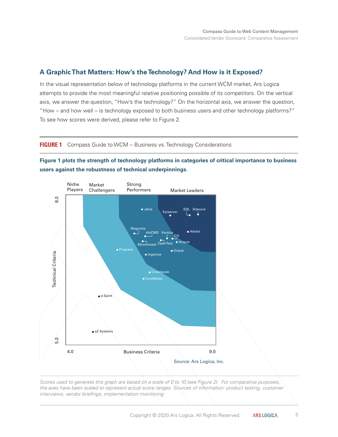## **A Graphic That Matters: How's the Technology? And How is it Exposed?**

In the visual representation below of technology platforms in the current WCM market, Ars Logica attempts to provide the most meaningful relative positioning possible of its competitors. On the vertical axis, we answer the question, "How's the technology?" On the horizontal axis, we answer the question, "How -- and how well -- is technology exposed to both business users and other technology platforms?" To see how scores were derived, please refer to Figure 2.

#### **FIGURE 1** Compass Guide to WCM -- Business vs. Technology Considerations

**Figure 1 plots the strength of technology platforms in categories of critical importance to business users against the robustness of technical underpinnings.**



*Scores used to generate this graph are based on a scale of 0 to 10 (see Figure 2). For comparative purposes, the axes have been scaled to represent actual score ranges. Sources of information: product testing, customer interviews, vendor briefings, implementation monitoring*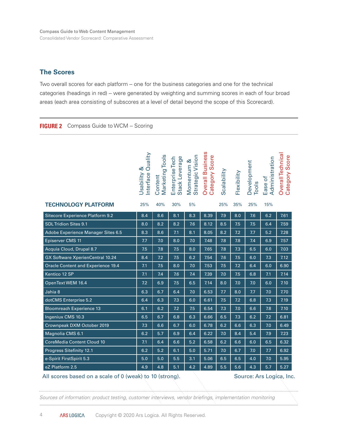#### **The Scores**

Two overall scores for each platform -- one for the business categories and one for the technical categories (headings in red) - were generated by weighting and summing scores in each of four broad areas (each area consisting of subscores at a level of detail beyond the scope of this Scorecard).

#### **FIGURE 2** Compass Guide to WCM -- Scoring

|                                                                                     | Interface Quality<br>Jsability & | Marketing Tools<br>Content | Stack Leverage<br>Enterprise Tech | Strategic Vision<br>Momentum & | Overall Business<br>Category Score | Scalability | Flexibility | Development<br>Tools | Administration<br>Ease of | Overall Technica<br>Category Score |
|-------------------------------------------------------------------------------------|----------------------------------|----------------------------|-----------------------------------|--------------------------------|------------------------------------|-------------|-------------|----------------------|---------------------------|------------------------------------|
| <b>TECHNOLOGY PLATFORM</b>                                                          | 25%                              | 40%                        | 30%                               | 5%                             |                                    | 25%         | 35%         | 25%                  | 15%                       |                                    |
| Sitecore Experience Platform 9.2                                                    | 8.4                              | 8.6                        | 8.1                               | 8.3                            | 8.39                               | 7.9         | 8.0         | 7.6                  | 6.2                       | 7.61                               |
| <b>SDL Tridion Sites 9.1</b>                                                        | 8.0                              | 8.2                        | 8.2                               | 7.6                            | 8.12                               | 8.5         | 7.5         | 7.5                  | 6.4                       | 7.59                               |
| Adobe Experience Manager Sites 6.5                                                  | 8.3                              | 8.6                        | 7.1                               | 8.1                            | 8.05                               | 8.2         | 7.2         | 7.7                  | 5.2                       | 7.28                               |
| Episerver CMS 11                                                                    | 7.7                              | 7.0                        | 8.0                               | 7.0                            | 7.48                               | 7.8         | 7.8         | 7.4                  | 6.9                       | 7.57                               |
| Acquia Cloud, Drupal 8.7                                                            | 7.5                              | 7.8                        | 7.5                               | 8.0                            | 7.65                               | 7.8         | 7.3         | 6.5                  | 6.0                       | 7.03                               |
| <b>GX Software XperienCentral 10.24</b>                                             | 8.4                              | 7.2                        | 7.5                               | 6.2                            | 7.54                               | 7.6         | 7.5         | 6.0                  | 7.3                       | 7.12                               |
| <b>Oracle Content and Experience 19.4</b>                                           | 7.1                              | 7.5                        | 8.0                               | 7.0                            | 7.53                               | 7.5         | 7.2         | 6.4                  | 6.0                       | 6.90                               |
| Kentico 12 SP                                                                       | 7.1                              | 7.4                        | 7.6                               | 7.4                            | 7.39                               | 7.0         | 7.5         | 6.8                  | 7.1                       | 7.14                               |
| OpenText WEM 16.4                                                                   | 7.2                              | 6.9                        | 7.5                               | 6.5                            | 7.14                               | 8.0         | 7.0         | 7.0                  | 6.0                       | 7.10                               |
| Jahia 8                                                                             | 6.3                              | 6.7                        | 6.4                               | 7.0                            | 6.53                               | 7.7         | 8.0         | 7.7                  | 7.0                       | 7.70                               |
| dotCMS Enterprise 5.2                                                               | 6.4                              | 6.3                        | 7.3                               | 6.0                            | 6.61                               | 7.5         | 7.2         | 6.8                  | 7.3                       | 7.19                               |
| <b>Bloomreach Experience 13</b>                                                     | 6.1                              | 6.2                        | 7.2                               | 7.5                            | 6.54                               | 7.3         | 7.0         | 6.6                  | 7.8                       | 7.10                               |
| Ingeniux CMS 10.3                                                                   | 6.5                              | 6.7                        | 6.8                               | 6.3                            | 6.66                               | 6.5         | 7.3         | 6.2                  | 7.2                       | 6.81                               |
| Crownpeak DXM October 2019                                                          | 7.3                              | 6.6                        | 6.7                               | 6.0                            | 6.78                               | 6.2         | 6.6         | 6.3                  | 7.0                       | 6.49                               |
| Magnolia CMS 6.1                                                                    | 6.2                              | 5.7                        | 6.9                               | 6.4                            | 6.22                               | 7.0         | 8.4         | 5.4                  | 7.9                       | 7.23                               |
| <b>CoreMedia Content Cloud 10</b>                                                   | 7.1                              | 6.4                        | 6.6                               | 5.2                            | 6.58                               | 6.2         | 6.6         | 6.0                  | 6.5                       | 6.32                               |
| Progress Sitefinity 12.1                                                            | 6.2                              | 5.2                        | 6.1                               | 5.0                            | 5.71                               | 7.0         | 6.7         | 7.0                  | 7.7                       | 6.92                               |
| e-Spirit FirstSpirit 5.3                                                            | 5.0                              | 5.0                        | 5.5                               | 3.1                            | 5.06                               | 6.5         | 6.5         | 4.0                  | 7.0                       | 5.95                               |
| eZ Platform 2.5                                                                     | 4.9                              | 4.8                        | 5.1                               | 4.2                            | 4.89                               | 5.5         | 5.6         | 4.3                  | 5.7                       | 5.27                               |
| All scores based on a scale of 0 (weak) to 10 (strong).<br>Source: Ars Logica, Inc. |                                  |                            |                                   |                                |                                    |             |             |                      |                           |                                    |

#### $scores$  based on a scale of 0 ( $\theta$

*Sources of information: product testing, customer interviews, vendor briefings, implementation monitoring*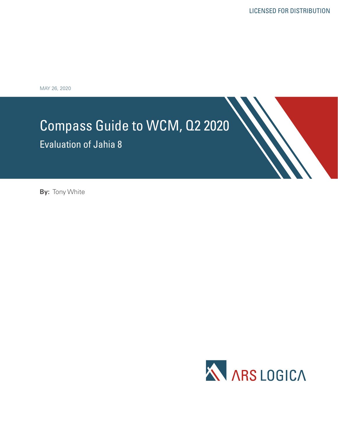MAY 26, 2020

# Compass Guide to WCM, Q2 2020

Evaluation of Jahia 8

**By:** Tony White

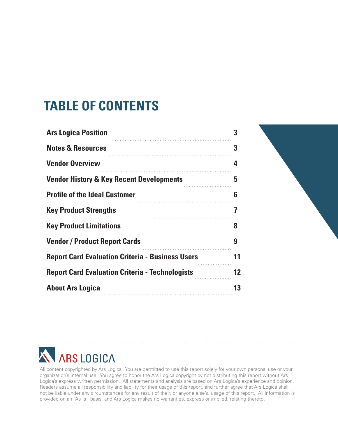# **Table of Contents**

| <b>Ars Logica Position</b>                              | 3  |
|---------------------------------------------------------|----|
| <b>Notes &amp; Resources</b>                            | 3  |
| <b>Vendor Overview</b>                                  | 4  |
| <b>Vendor History &amp; Key Recent Developments</b>     | 5  |
| <b>Profile of the Ideal Customer</b>                    | 6  |
| <b>Key Product Strengths</b>                            | 7  |
| <b>Key Product Limitations</b>                          | 8  |
| <b>Vendor / Product Report Cards</b>                    | 9  |
| <b>Report Card Evaluation Criteria - Business Users</b> | 11 |
| <b>Report Card Evaluation Criteria - Technologists</b>  | 12 |
| <b>About Ars Logica</b>                                 | 13 |
|                                                         |    |





All content copyrighted by Ars Logica. You are permitted to use this report solely for your own personal use or your organization's internal use. You agree to honor the Ars Logica copyright by not distributing this report without Ars Logica's express written permission. All statements and analysis are based on Ars Logica's experience and opinion. Readers assume all responsibility and liability for their usage of this report, and further agree that Ars Logica shall not be liable under any circumstances for any result of their, or anyone else's, usage of this report. All information is provided on an "As Is" basis, and Ars Logica makes no warranties, express or implied, relating thereto.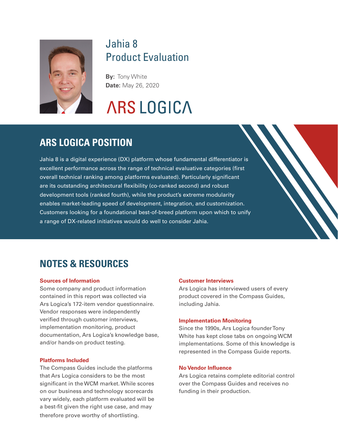

# Jahia 8 Product Evaluation

**By:** Tony White **Date:** May 26, 2020

# **ARS LOGICA**

## **ars logica position**

Jahia 8 is a digital experience (DX) platform whose fundamental differentiator is excellent performance across the range of technical evaluative categories (first overall technical ranking among platforms evaluated). Particularly significant are its outstanding architectural flexibility (co-ranked second) and robust development tools (ranked fourth), while the product's extreme modularity enables market-leading speed of development, integration, and customization. Customers looking for a foundational best-of-breed platform upon which to unify a range of DX-related initiatives would do well to consider Jahia.

# **Notes & Resources**

#### **Sources of Information**

Some company and product information contained in this report was collected via Ars Logica's 172-item vendor questionnaire. Vendor responses were independently verified through customer interviews, implementation monitoring, product documentation, Ars Logica's knowledge base, and/or hands-on product testing.

#### **Platforms Included**

The Compass Guides include the platforms that Ars Logica considers to be the most significant in the WCM market. While scores on our business and technology scorecards vary widely, each platform evaluated will be a best-fit given the right use case, and may therefore prove worthy of shortlisting.

#### **Customer Interviews**

Ars Logica has interviewed users of every product covered in the Compass Guides, including Jahia.

#### **Implementation Monitoring**

Since the 1990s, Ars Logica founder Tony White has kept close tabs on ongoing WCM implementations. Some of this knowledge is represented in the Compass Guide reports.

#### **No Vendor Influence**

Ars Logica retains complete editorial control over the Compass Guides and receives no funding in their production.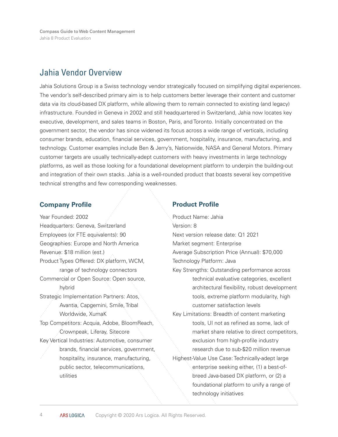Compass Guide to Web Content Management Jahia 8 Product Evaluation

## Jahia Vendor Overview

Jahia Solutions Group is a Swiss technology vendor strategically focused on simplifying digital experiences. The vendor's self-described primary aim is to help customers better leverage their content and customer data via its cloud-based DX platform, while allowing them to remain connected to existing (and legacy) infrastructure. Founded in Geneva in 2002 and still headquartered in Switzerland, Jahia now locates key executive, development, and sales teams in Boston, Paris, and Toronto. Initially concentrated on the government sector, the vendor has since widened its focus across a wide range of verticals, including consumer brands, education, financial services, government, hospitality, insurance, manufacturing, and technology. Customer examples include Ben & Jerry's, Nationwide, NASA and General Motors. Primary customer targets are usually technically-adept customers with heavy investments in large technology platforms, as well as those looking for a foundational development platform to underpin the building-out and integration of their own stacks. Jahia is a well-rounded product that boasts several key competitive technical strengths and few corresponding weaknesses.

#### **Company Profile**

Year Founded: 2002 Headquarters: Geneva, Switzerland Employees (or FTE equivalents): 90 Geographies: Europe and North America Revenue: \$18 million (est.) Product Types Offered: DX platform, WCM, range of technology connectors Commercial or Open Source: Open source, hybrid Strategic Implementation Partners: Atos, Avantia, Capgemini, Smile, Tribal Worldwide, XumaK Top Competitors: Acquia, Adobe, BloomReach, Crownpeak, Liferay, Sitecore Key Vertical Industries: Automotive, consumer brands, financial services, government, hospitality, insurance, manufacturing, public sector, telecommunications, utilities

#### **Product Profile**

Product Name: Jahia Version: 8 Next version release date: Q1 2021 Market segment: Enterprise Average Subscription Price (Annual): \$70,000 Technology Platform: Java Key Strengths: Outstanding performance across technical evaluative categories, excellent architectural flexibility, robust development tools, extreme platform modularity, high customer satisfaction levels Key Limitations: Breadth of content marketing tools, UI not as refined as some, lack of market share relative to direct competitors, exclusion from high-profile industry research due to sub-\$20 million revenue Highest-Value Use Case: Technically-adept large enterprise seeking either, (1) a best-ofbreed Java-based DX platform, or (2) a foundational platform to unify a range of technology initiatives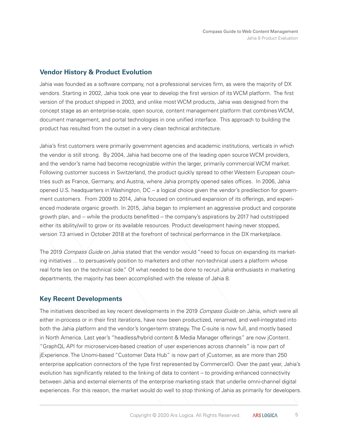## **Vendor History & Product Evolution**

Jahia was founded as a software company, not a professional services firm, as were the majority of DX vendors. Starting in 2002, Jahia took one year to develop the first version of its WCM platform. The first version of the product shipped in 2003, and unlike most WCM products, Jahia was designed from the concept stage as an enterprise-scale, open source, content management platform that combines WCM, document management, and portal technologies in one unified interface. This approach to building the product has resulted from the outset in a very clean technical architecture.

Jahia's first customers were primarily government agencies and academic institutions, verticals in which the vendor is still strong. By 2004, Jahia had become one of the leading open source WCM providers, and the vendor's name had become recognizable within the larger, primarily commercial WCM market. Following customer success in Switzerland, the product quickly spread to other Western European countries such as France, Germany, and Austria, where Jahia promptly opened sales offices. In 2006, Jahia opened U.S. headquarters in Washington, DC -- a logical choice given the vendor's predilection for government customers. From 2009 to 2014, Jahia focused on continued expansion of its offerings, and experienced moderate organic growth. In 2015, Jahia began to implement an aggressive product and corporate growth plan, and -- while the products benefitted -- the company's aspirations by 2017 had outstripped either its ability/will to grow or its available resources. Product development having never stopped, version 7.3 arrived in October 2018 at the forefront of technical performance in the DX marketplace.

The 2019 Compass Guide on Jahia stated that the vendor would "need to focus on expanding its marketing initiatives ... to persuasively position to marketers and other non-technical users a platform whose real forte lies on the technical side." Of what needed to be done to recruit Jahia enthusiasts in marketing departments, the majority has been accomplished with the release of Jahia 8.

## **Key Recent Developments**

The initiatives described as key recent developments in the 2019 Compass Guide on Jahia, which were all either in-process or in their first iterations, have now been productized, renamed, and well-integrated into both the Jahia platform and the vendor's longer-term strategy. The C-suite is now full, and mostly based in North America. Last year's "headless/hybrid content & Media Manager offerings" are now jContent. "GraphQL API for microservices-based creation of user experiences across channels" is now part of jExperience. The Unomi-based "Customer Data Hub" is now part of jCustomer, as are more than 250 enterprise application connectors of the type first represented by CommerceIO. Over the past year, Jahia's evolution has significantly related to the linking of data to content – to providing enhanced connectivity between Jahia and external elements of the enterprise marketing stack that underlie omni-channel digital experiences. For this reason, the market would do well to stop thinking of Jahia as primarily for developers.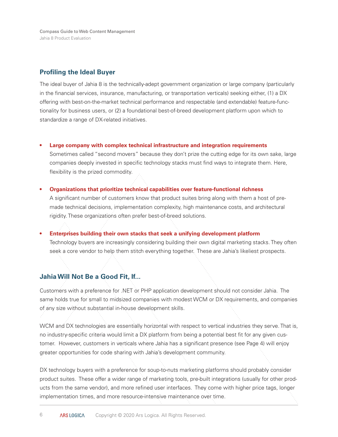Compass Guide to Web Content Management Jahia 8 Product Evaluation

#### **Profiling the Ideal Buyer**

The ideal buyer of Jahia 8 is the technically-adept government organization or large company (particularly in the financial services, insurance, manufacturing, or transportation verticals) seeking either, (1) a DX offering with best-on-the-market technical performance and respectable (and extendable) feature-functionality for business users, or (2) a foundational best-of-breed development platform upon which to standardize a range of DX-related initiatives.

**Large company with complex technical infrastructure and integration requirements •**

Sometimes called "second movers" because they don't prize the cutting edge for its own sake, large companies deeply invested in specific technology stacks must find ways to integrate them. Here, flexibility is the prized commodity.

- **Organizations that prioritize technical capabilities over feature-functional richness** A significant number of customers know that product suites bring along with them a host of premade technical decisions, implementation complexity, high maintenance costs, and architectural rigidity. These organizations often prefer best-of-breed solutions. **•**
- **Enterprises building their own stacks that seek a unifying development platform**  Technology buyers are increasingly considering building their own digital marketing stacks. They often seek a core vendor to help them stitch everything together. These are Jahia's likeliest prospects. **•**

#### **Jahia Will Not Be a Good Fit, If...**

Customers with a preference for .NET or PHP application development should not consider Jahia. The same holds true for small to midsized companies with modest WCM or DX requirements, and companies of any size without substantial in-house development skills.

WCM and DX technologies are essentially horizontal with respect to vertical industries they serve. That is, no industry-specific criteria would limit a DX platform from being a potential best fit for any given customer. However, customers in verticals where Jahia has a significant presence (see Page 4) will enjoy greater opportunities for code sharing with Jahia's development community.

DX technology buyers with a preference for soup-to-nuts marketing platforms should probably consider product suites. These offer a wider range of marketing tools, pre-built integrations (usually for other products from the same vendor), and more refined user interfaces. They come with higher price tags, longer implementation times, and more resource-intensive maintenance over time.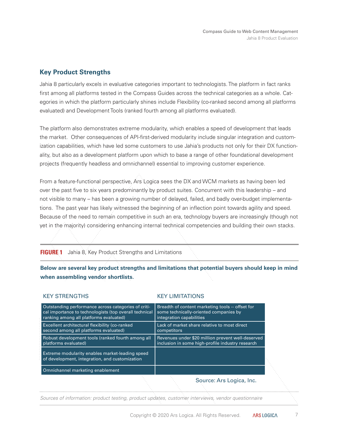## **Key Product Strengths**

Jahia 8 particularly excels in evaluative categories important to technologists. The platform in fact ranks first among all platforms tested in the Compass Guides across the technical categories as a whole. Categories in which the platform particularly shines include Flexibility (co-ranked second among all platforms evaluated) and Development Tools (ranked fourth among all platforms evaluated).

The platform also demonstrates extreme modularity, which enables a speed of development that leads the market. Other consequences of API-first-derived modularity include singular integration and customization capabilities, which have led some customers to use Jahia's products not only for their DX functionality, but also as a development platform upon which to base a range of other foundational development projects (frequently headless and omnichannel) essential to improving customer experience.

From a feature-functional perspective, Ars Logica sees the DX and WCM markets as having been led over the past five to six years predominantly by product suites. Concurrent with this leadership – and not visible to many – has been a growing number of delayed, failed, and badly over-budget implementations. The past year has likely witnessed the beginning of an inflection point towards agility and speed. Because of the need to remain competitive in such an era, technology buyers are increasingly (though not yet in the majority) considering enhancing internal technical competencies and building their own stacks.

#### **FIGURE 1** Jahia 8, Key Product Strengths and Limitations

**Below are several key product strengths and limitations that potential buyers should keep in mind when assembling vendor shortlists.** 

#### KEY STRENGTHS KEY LIMITATIONS

| Outstanding performance across categories of criti-<br>cal importance to technologists (top overall technical<br>ranking among all platforms evaluated) | Breadth of content marketing tools -- offset for<br>some technically-oriented companies by<br>integration capabilities |
|---------------------------------------------------------------------------------------------------------------------------------------------------------|------------------------------------------------------------------------------------------------------------------------|
| Excellent architectural flexibility (co-ranked<br>second among all platforms evaluated)                                                                 | Lack of market share relative to most direct<br>competitors                                                            |
| Robust development tools (ranked fourth among all<br>platforms evaluated)                                                                               | Revenues under \$20 million prevent well-deserved<br>inclusion in some high-profile industry research                  |
| Extreme modularity enables market-leading speed<br>of development, integration, and customization                                                       |                                                                                                                        |
| Omnichannel marketing enablement                                                                                                                        |                                                                                                                        |
|                                                                                                                                                         | Source: Ars Logica, Inc.                                                                                               |

*Sources of information: product testing, product updates, customer interviews, vendor questionnaire*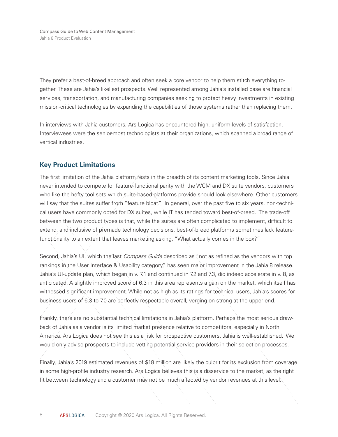They prefer a best-of-breed approach and often seek a core vendor to help them stitch everything together. These are Jahia's likeliest prospects. Well represented among Jahia's installed base are financial services, transportation, and manufacturing companies seeking to protect heavy investments in existing mission-critical technologies by expanding the capabilities of those systems rather than replacing them.

In interviews with Jahia customers, Ars Logica has encountered high, uniform levels of satisfaction. Interviewees were the senior-most technologists at their organizations, which spanned a broad range of vertical industries.

## **Key Product Limitations**

The first limitation of the Jahia platform rests in the breadth of its content marketing tools. Since Jahia never intended to compete for feature-functional parity with the WCM and DX suite vendors, customers who like the hefty tool sets which suite-based platforms provide should look elsewhere. Other customers will say that the suites suffer from "feature bloat." In general, over the past five to six years, non-technical users have commonly opted for DX suites, while IT has tended toward best-of-breed. The trade-off between the two product types is that, while the suites are often complicated to implement, difficult to extend, and inclusive of premade technology decisions, best-of-breed platforms sometimes lack featurefunctionality to an extent that leaves marketing asking, "What actually comes in the box?"

Second, Jahia's UI, which the last *Compass Guide* described as "not as refined as the vendors with top rankings in the User Interface & Usability category," has seen major improvement in the Jahia 8 release. Jahia's UI-update plan, which began in v. 7.1 and continued in 7.2 and 7.3, did indeed accelerate in v. 8, as anticipated. A slightly improved score of 6.3 in this area represents a gain on the market, which itself has witnessed significant improvement. While not as high as its ratings for technical users, Jahia's scores for business users of 6.3 to 7.0 are perfectly respectable overall, verging on strong at the upper end.

Frankly, there are no substantial technical limitations in Jahia's platform. Perhaps the most serious drawback of Jahia as a vendor is its limited market presence relative to competitors, especially in North America. Ars Logica does not see this as a risk for prospective customers. Jahia is well-established. We would only advise prospects to include vetting potential service providers in their selection processes.

Finally, Jahia's 2019 estimated revenues of \$18 million are likely the culprit for its exclusion from coverage in some high-profile industry research. Ars Logica believes this is a disservice to the market, as the right fit between technology and a customer may not be much affected by vendor revenues at this level.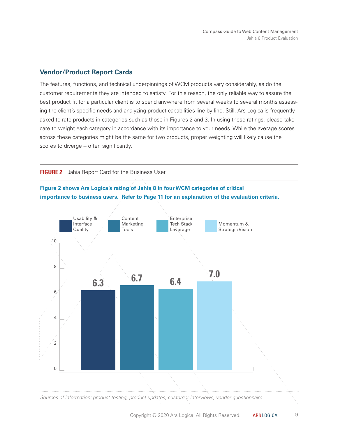### **Vendor/Product Report Cards**

The features, functions, and technical underpinnings of WCM products vary considerably, as do the customer requirements they are intended to satisfy. For this reason, the only reliable way to assure the best product fit for a particular client is to spend anywhere from several weeks to several months assessing the client's specific needs and analyzing product capabilities line by line. Still, Ars Logica is frequently asked to rate products in categories such as those in Figures 2 and 3. In using these ratings, please take care to weight each category in accordance with its importance to your needs. While the average scores across these categories might be the same for two products, proper weighting will likely cause the scores to diverge -- often significantly.

#### **FIGURE 2** Jahia Report Card for the Business User



### **Figure 2 shows Ars Logica's rating of Jahia 8 in four WCM categories of critical importance to business users. Refer to Page 11 for an explanation of the evaluation criteria.**

 $\Theta$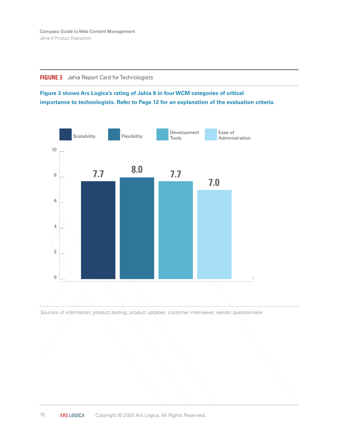

### **Figure 3 shows Ars Logica's rating of Jahia 8 in four WCM categories of critical importance to technologists. Refer to Page 12 for an explanation of the evaluation criteria.**





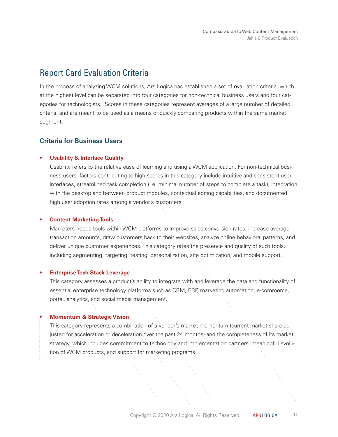## Report Card Evaluation Criteria

In the process of analyzing WCM solutions, Ars Logica has established a set of evaluation criteria, which at the highest level can be separated into four categories for non-technical business users and four categories for technologists. Scores in these categories represent averages of a large number of detailed criteria, and are meant to be used as a means of quickly comparing products within the same market segment.

## **Criteria for Business Users**

#### **Usability & Interface Quality •**

Usability refers to the relative ease of learning and using a WCM application. For non-technical business users, factors contributing to high scores in this category include intuitive and consistent user interfaces, streamlined task completion (i.e. minimal number of steps to complete a task), integration with the desktop and between product modules, contextual editing capabilities, and documented high user adoption rates among a vendor's customers.

#### **Content Marketing Tools •**

Marketers needs tools within WCM platforms to improve sales conversion rates, increase average transaction amounts, draw customers back to their websites, analyze online behavioral patterns, and deliver unique customer experiences. This category rates the presence and quality of such tools, including segmenting, targeting, testing, personalization, site optimization, and mobile support.

#### **Enterprise Tech Stack Leverage •**

This category assesses a product's ability to integrate with and leverage the data and functionality of essential enterprise technology platforms such as CRM, ERP, marketing automation, e-commerce, portal, analytics, and social media management.

#### **Momentum & Strategic Vision**

**•**

This category represents a combination of a vendor's market momentum (current market share adjusted for acceleration or deceleration over the past 24 months) and the completeness of its market strategy, which includes commitment to technology and implementation partners, meaningful evolution of WCM products, and support for marketing programs.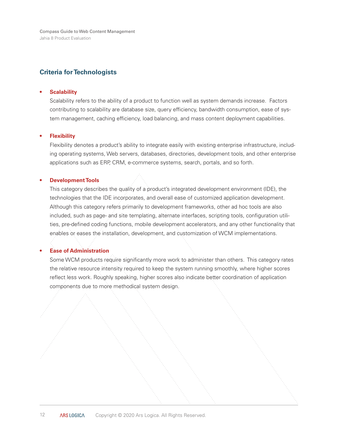Compass Guide to Web Content Management Jahia 8 Product Evaluation

### **Criteria for Technologists**

#### **Scalability •**

Scalability refers to the ability of a product to function well as system demands increase. Factors contributing to scalability are database size, query efficiency, bandwidth consumption, ease of system management, caching efficiency, load balancing, and mass content deployment capabilities.

#### **Flexibility •**

Flexibility denotes a product's ability to integrate easily with existing enterprise infrastructure, including operating systems, Web servers, databases, directories, development tools, and other enterprise applications such as ERP, CRM, e-commerce systems, search, portals, and so forth.

#### **Development Tools •**

This category describes the quality of a product's integrated development environment (IDE), the technologies that the IDE incorporates, and overall ease of customized application development. Although this category refers primarily to development frameworks, other ad hoc tools are also included, such as page- and site templating, alternate interfaces, scripting tools, configuration utilities, pre-defined coding functions, mobile development accelerators, and any other functionality that enables or eases the installation, development, and customization of WCM implementations.

#### **Ease of Administration •**

Some WCM products require significantly more work to administer than others. This category rates the relative resource intensity required to keep the system running smoothly, where higher scores reflect less work. Roughly speaking, higher scores also indicate better coordination of application components due to more methodical system design.